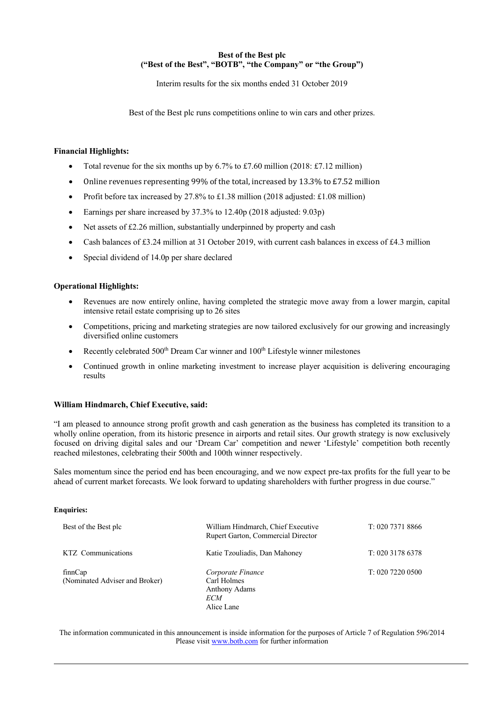### **Best of the Best plc ("Best of the Best", "BOTB", "the Company" or "the Group")**

Interim results for the six months ended 31 October 2019

Best of the Best plc runs competitions online to win cars and other prizes.

## **Financial Highlights:**

- Total revenue for the six months up by  $6.7\%$  to £7.60 million (2018: £7.12 million)
- Online revenues representing 99% of the total, increased by 13.3% to  $E7.52$  million
- Profit before tax increased by 27.8% to £1.38 million (2018 adjusted: £1.08 million)
- Earnings per share increased by 37.3% to 12.40p (2018 adjusted: 9.03p)
- Net assets of £2.26 million, substantially underpinned by property and cash
- Cash balances of  $\text{\pounds}3.24$  million at 31 October 2019, with current cash balances in excess of  $\text{\pounds}4.3$  million
- Special dividend of 14.0p per share declared

## **Operational Highlights:**

- Revenues are now entirely online, having completed the strategic move away from a lower margin, capital intensive retail estate comprising up to 26 sites
- Competitions, pricing and marketing strategies are now tailored exclusively for our growing and increasingly diversified online customers
- Recently celebrated 500<sup>th</sup> Dream Car winner and 100<sup>th</sup> Lifestyle winner milestones
- Continued growth in online marketing investment to increase player acquisition is delivering encouraging results

### **William Hindmarch, Chief Executive, said:**

"I am pleased to announce strong profit growth and cash generation as the business has completed its transition to a wholly online operation, from its historic presence in airports and retail sites. Our growth strategy is now exclusively focused on driving digital sales and our 'Dream Car' competition and newer 'Lifestyle' competition both recently reached milestones, celebrating their 500th and 100th winner respectively.

Sales momentum since the period end has been encouraging, and we now expect pre-tax profits for the full year to be ahead of current market forecasts. We look forward to updating shareholders with further progress in due course."

### **Enquiries:**

| Best of the Best plc                      | William Hindmarch, Chief Executive<br>Rupert Garton, Commercial Director | T: 020 7371 8866   |
|-------------------------------------------|--------------------------------------------------------------------------|--------------------|
| KTZ Communications                        | Katie Tzouliadis, Dan Mahoney                                            | $T: 020$ 3178 6378 |
| finnCap<br>(Nominated Adviser and Broker) | Corporate Finance<br>Carl Holmes<br>Anthony Adams<br>ECM<br>Alice Lane   | T: 020 7220 0500   |

The information communicated in this announcement is inside information for the purposes of Article 7 of Regulation 596/2014 Please visit www.botb.com for further information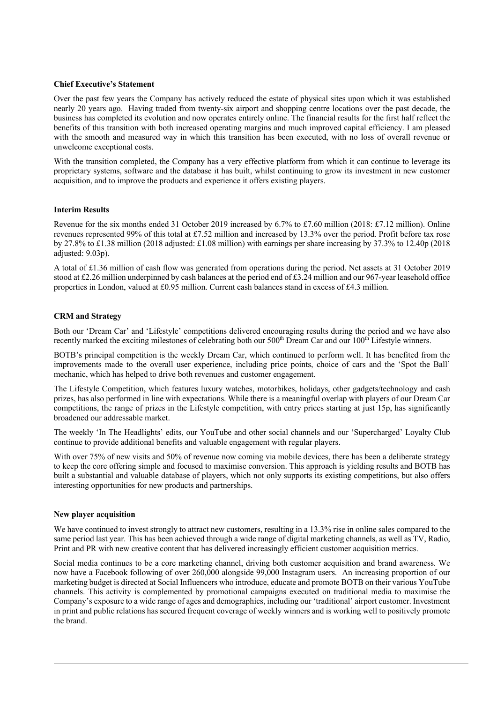#### **Chief Executive's Statement**

Over the past few years the Company has actively reduced the estate of physical sites upon which it was established nearly 20 years ago. Having traded from twenty-six airport and shopping centre locations over the past decade, the business has completed its evolution and now operates entirely online. The financial results for the first half reflect the benefits of this transition with both increased operating margins and much improved capital efficiency. I am pleased with the smooth and measured way in which this transition has been executed, with no loss of overall revenue or unwelcome exceptional costs.

With the transition completed, the Company has a very effective platform from which it can continue to leverage its proprietary systems, software and the database it has built, whilst continuing to grow its investment in new customer acquisition, and to improve the products and experience it offers existing players.

#### **Interim Results**

Revenue for the six months ended 31 October 2019 increased by 6.7% to £7.60 million (2018: £7.12 million). Online revenues represented 99% of this total at £7.52 million and increased by 13.3% over the period. Profit before tax rose by 27.8% to £1.38 million (2018 adjusted: £1.08 million) with earnings per share increasing by 37.3% to 12.40p (2018 adjusted: 9.03p).

A total of £1.36 million of cash flow was generated from operations during the period. Net assets at 31 October 2019 stood at £2.26 million underpinned by cash balances at the period end of £3.24 million and our 967-year leasehold office properties in London, valued at £0.95 million. Current cash balances stand in excess of £4.3 million.

### **CRM and Strategy**

Both our 'Dream Car' and 'Lifestyle' competitions delivered encouraging results during the period and we have also recently marked the exciting milestones of celebrating both our 500<sup>th</sup> Dream Car and our 100<sup>th</sup> Lifestyle winners.

BOTB's principal competition is the weekly Dream Car, which continued to perform well. It has benefited from the improvements made to the overall user experience, including price points, choice of cars and the 'Spot the Ball' mechanic, which has helped to drive both revenues and customer engagement.

The Lifestyle Competition, which features luxury watches, motorbikes, holidays, other gadgets/technology and cash prizes, has also performed in line with expectations. While there is a meaningful overlap with players of our Dream Car competitions, the range of prizes in the Lifestyle competition, with entry prices starting at just 15p, has significantly broadened our addressable market.

The weekly 'In The Headlights' edits, our YouTube and other social channels and our 'Supercharged' Loyalty Club continue to provide additional benefits and valuable engagement with regular players.

With over 75% of new visits and 50% of revenue now coming via mobile devices, there has been a deliberate strategy to keep the core offering simple and focused to maximise conversion. This approach is yielding results and BOTB has built a substantial and valuable database of players, which not only supports its existing competitions, but also offers interesting opportunities for new products and partnerships.

#### **New player acquisition**

We have continued to invest strongly to attract new customers, resulting in a 13.3% rise in online sales compared to the same period last year. This has been achieved through a wide range of digital marketing channels, as well as TV, Radio, Print and PR with new creative content that has delivered increasingly efficient customer acquisition metrics.

Social media continues to be a core marketing channel, driving both customer acquisition and brand awareness. We now have a Facebook following of over 260,000 alongside 99,000 Instagram users. An increasing proportion of our marketing budget is directed at Social Influencers who introduce, educate and promote BOTB on their various YouTube channels. This activity is complemented by promotional campaigns executed on traditional media to maximise the Company's exposure to a wide range of ages and demographics, including our 'traditional' airport customer. Investment in print and public relations has secured frequent coverage of weekly winners and is working well to positively promote the brand.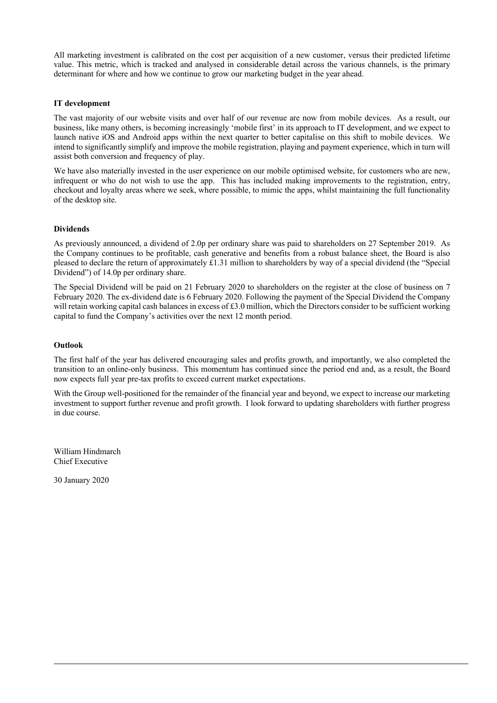All marketing investment is calibrated on the cost per acquisition of a new customer, versus their predicted lifetime value. This metric, which is tracked and analysed in considerable detail across the various channels, is the primary determinant for where and how we continue to grow our marketing budget in the year ahead.

### **IT development**

The vast majority of our website visits and over half of our revenue are now from mobile devices. As a result, our business, like many others, is becoming increasingly 'mobile first' in its approach to IT development, and we expect to launch native iOS and Android apps within the next quarter to better capitalise on this shift to mobile devices. We intend to significantly simplify and improve the mobile registration, playing and payment experience, which in turn will assist both conversion and frequency of play.

We have also materially invested in the user experience on our mobile optimised website, for customers who are new, infrequent or who do not wish to use the app. This has included making improvements to the registration, entry, checkout and loyalty areas where we seek, where possible, to mimic the apps, whilst maintaining the full functionality of the desktop site.

## **Dividends**

As previously announced, a dividend of 2.0p per ordinary share was paid to shareholders on 27 September 2019. As the Company continues to be profitable, cash generative and benefits from a robust balance sheet, the Board is also pleased to declare the return of approximately £1.31 million to shareholders by way of a special dividend (the "Special Dividend") of 14.0p per ordinary share.

The Special Dividend will be paid on 21 February 2020 to shareholders on the register at the close of business on 7 February 2020. The ex-dividend date is 6 February 2020. Following the payment of the Special Dividend the Company will retain working capital cash balances in excess of £3.0 million, which the Directors consider to be sufficient working capital to fund the Company's activities over the next 12 month period.

### **Outlook**

The first half of the year has delivered encouraging sales and profits growth, and importantly, we also completed the transition to an online-only business. This momentum has continued since the period end and, as a result, the Board now expects full year pre-tax profits to exceed current market expectations.

With the Group well-positioned for the remainder of the financial year and beyond, we expect to increase our marketing investment to support further revenue and profit growth. I look forward to updating shareholders with further progress in due course.

William Hindmarch Chief Executive

30 January 2020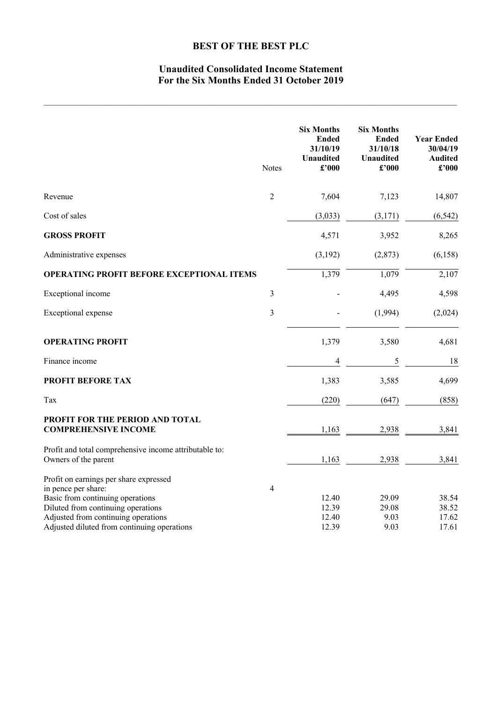# **Unaudited Consolidated Income Statement For the Six Months Ended 31 October 2019**

|                                                                                                                                         | <b>Notes</b>   | <b>Six Months</b><br><b>Ended</b><br>31/10/19<br><b>Unaudited</b><br>£'000 | <b>Six Months</b><br><b>Ended</b><br>31/10/18<br><b>Unaudited</b><br>£'000 | <b>Year Ended</b><br>30/04/19<br><b>Audited</b><br>£'000 |
|-----------------------------------------------------------------------------------------------------------------------------------------|----------------|----------------------------------------------------------------------------|----------------------------------------------------------------------------|----------------------------------------------------------|
| Revenue                                                                                                                                 | $\overline{2}$ | 7,604                                                                      | 7,123                                                                      | 14,807                                                   |
| Cost of sales                                                                                                                           |                | (3,033)                                                                    | (3,171)                                                                    | (6, 542)                                                 |
| <b>GROSS PROFIT</b>                                                                                                                     |                | 4,571                                                                      | 3,952                                                                      | 8,265                                                    |
| Administrative expenses                                                                                                                 |                | (3,192)                                                                    | (2,873)                                                                    | (6, 158)                                                 |
| OPERATING PROFIT BEFORE EXCEPTIONAL ITEMS                                                                                               |                | 1,379                                                                      | 1,079                                                                      | 2,107                                                    |
| Exceptional income                                                                                                                      | 3              |                                                                            | 4,495                                                                      | 4,598                                                    |
| Exceptional expense                                                                                                                     | 3              |                                                                            | (1,994)                                                                    | (2,024)                                                  |
| <b>OPERATING PROFIT</b>                                                                                                                 |                | 1,379                                                                      | 3,580                                                                      | 4,681                                                    |
| Finance income                                                                                                                          |                | 4                                                                          | 5                                                                          | 18                                                       |
| PROFIT BEFORE TAX                                                                                                                       |                | 1,383                                                                      | 3,585                                                                      | 4,699                                                    |
| Tax                                                                                                                                     |                | (220)                                                                      | (647)                                                                      | (858)                                                    |
| PROFIT FOR THE PERIOD AND TOTAL<br><b>COMPREHENSIVE INCOME</b>                                                                          |                | 1,163                                                                      | 2,938                                                                      | 3,841                                                    |
| Profit and total comprehensive income attributable to:<br>Owners of the parent                                                          |                | 1,163                                                                      | 2,938                                                                      | 3,841                                                    |
| Profit on earnings per share expressed<br>in pence per share:<br>Basic from continuing operations<br>Diluted from continuing operations | 4              | 12.40<br>12.39                                                             | 29.09<br>29.08                                                             | 38.54<br>38.52                                           |
| Adjusted from continuing operations<br>Adjusted diluted from continuing operations                                                      |                | 12.40<br>12.39                                                             | 9.03<br>9.03                                                               | 17.62<br>17.61                                           |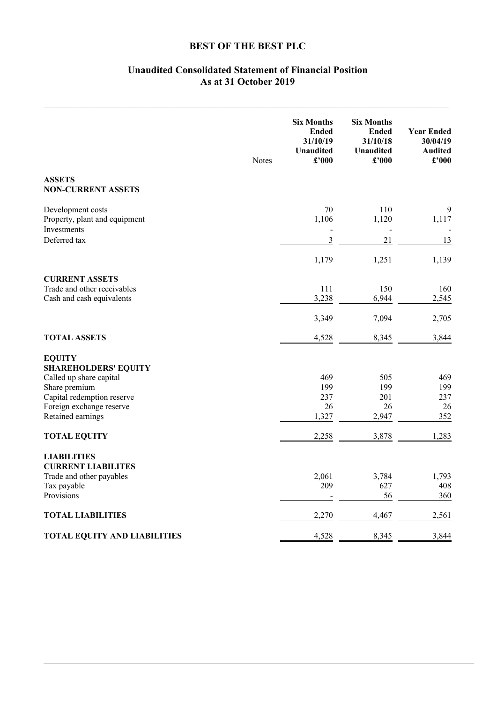# **Unaudited Consolidated Statement of Financial Position As at 31 October 2019**

|                                                                   | <b>Notes</b> | <b>Six Months</b><br><b>Ended</b><br>31/10/19<br><b>Unaudited</b><br>£'000 | <b>Six Months</b><br><b>Ended</b><br>31/10/18<br><b>Unaudited</b><br>£'000 | <b>Year Ended</b><br>30/04/19<br><b>Audited</b><br>£'000 |
|-------------------------------------------------------------------|--------------|----------------------------------------------------------------------------|----------------------------------------------------------------------------|----------------------------------------------------------|
| <b>ASSETS</b><br><b>NON-CURRENT ASSETS</b>                        |              |                                                                            |                                                                            |                                                          |
| Development costs<br>Property, plant and equipment<br>Investments |              | 70<br>1,106<br>$\overline{a}$                                              | 110<br>1,120                                                               | 9<br>1,117                                               |
| Deferred tax                                                      |              | 3                                                                          | 21                                                                         | 13                                                       |
|                                                                   |              | 1,179                                                                      | 1,251                                                                      | 1,139                                                    |
| <b>CURRENT ASSETS</b><br>Trade and other receivables              |              | 111                                                                        | 150                                                                        | 160                                                      |
| Cash and cash equivalents                                         |              | 3,238                                                                      | 6,944                                                                      | 2,545                                                    |
|                                                                   |              | 3,349                                                                      | 7,094                                                                      | 2,705                                                    |
| <b>TOTAL ASSETS</b>                                               |              | 4,528                                                                      | 8,345                                                                      | 3,844                                                    |
| <b>EQUITY</b>                                                     |              |                                                                            |                                                                            |                                                          |
| <b>SHAREHOLDERS' EQUITY</b><br>Called up share capital            |              | 469                                                                        | 505                                                                        | 469                                                      |
| Share premium                                                     |              | 199                                                                        | 199                                                                        | 199                                                      |
| Capital redemption reserve                                        |              | 237                                                                        | 201                                                                        | 237                                                      |
| Foreign exchange reserve                                          |              | 26                                                                         | 26                                                                         | 26                                                       |
| Retained earnings                                                 |              | 1,327                                                                      | 2,947                                                                      | 352                                                      |
| <b>TOTAL EQUITY</b>                                               |              | 2,258                                                                      | 3,878                                                                      | 1,283                                                    |
| <b>LIABILITIES</b>                                                |              |                                                                            |                                                                            |                                                          |
| <b>CURRENT LIABILITES</b>                                         |              |                                                                            |                                                                            |                                                          |
| Trade and other payables                                          |              | 2,061                                                                      | 3,784                                                                      | 1,793                                                    |
| Tax payable<br>Provisions                                         |              | 209                                                                        | 627<br>56                                                                  | 408<br>360                                               |
| <b>TOTAL LIABILITIES</b>                                          |              | 2,270                                                                      | 4,467                                                                      | 2,561                                                    |
| <b>TOTAL EQUITY AND LIABILITIES</b>                               |              | 4,528                                                                      | 8,345                                                                      | 3,844                                                    |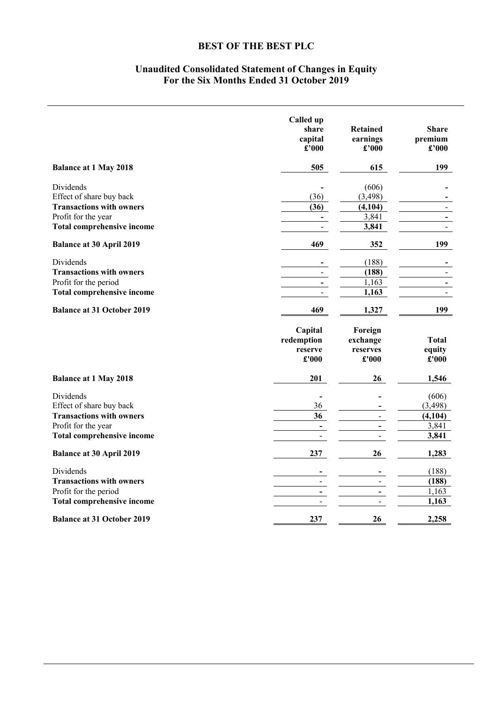# **Unaudited Consolidated Statement of Changes in Equity For the Six Months Ended 31 October 2019**

|                                   | Called up<br>share<br>capital<br>£'000 | <b>Retained</b><br>earnings<br>£'000 | <b>Share</b><br>premium<br>$\pounds$ '000 |
|-----------------------------------|----------------------------------------|--------------------------------------|-------------------------------------------|
| <b>Balance at 1 May 2018</b>      | 505                                    | 615                                  | 199                                       |
| Dividends                         |                                        | (606)                                |                                           |
| Effect of share buy back          | (36)                                   | (3, 498)                             |                                           |
| <b>Transactions with owners</b>   | (36)                                   | (4, 104)                             |                                           |
| Profit for the year               | $\blacksquare$                         | 3,841                                |                                           |
| Total comprehensive income        | $\overline{a}$                         | 3,841                                |                                           |
| <b>Balance at 30 April 2019</b>   | 469                                    | 352                                  | 199                                       |
| Dividends                         | $\overline{\phantom{a}}$               | (188)                                |                                           |
| <b>Transactions with owners</b>   | $\blacksquare$                         | (188)                                |                                           |
| Profit for the period             | $\blacksquare$                         | 1,163                                |                                           |
| <b>Total comprehensive income</b> |                                        | 1,163                                |                                           |
| <b>Balance at 31 October 2019</b> | 469                                    | 1,327                                | 199                                       |
|                                   | Capital                                | Foreign                              |                                           |
|                                   | redemption                             | exchange                             | <b>Total</b>                              |
|                                   | reserve                                | reserves                             | equity                                    |
|                                   | £'000                                  | £'000                                | $\pounds$ '000                            |
| <b>Balance at 1 May 2018</b>      | 201                                    | 26                                   | 1,546                                     |
| Dividends                         | $\blacksquare$                         |                                      | (606)                                     |
| Effect of share buy back          | 36                                     |                                      | (3, 498)                                  |
| <b>Transactions with owners</b>   | $\overline{36}$                        | $\sim$                               | (4, 104)                                  |
| Profit for the year               | $\overline{\phantom{a}}$               | $\blacksquare$                       | 3,841                                     |
| <b>Total comprehensive income</b> | $\mathbf{r}$                           | $\overline{a}$                       | 3,841                                     |
| <b>Balance at 30 April 2019</b>   | 237                                    | 26                                   | 1,283                                     |
| Dividends                         | $\blacksquare$                         |                                      | (188)                                     |
| <b>Transactions with owners</b>   | $\blacksquare$                         | $\frac{1}{2}$                        | (188)                                     |
| Profit for the period             | $\overline{\phantom{a}}$               | $\overline{\phantom{a}}$             | 1,163                                     |
| <b>Total comprehensive income</b> | $\blacksquare$                         |                                      | 1,163                                     |
| <b>Balance at 31 October 2019</b> | 237                                    | 26                                   | 2,258                                     |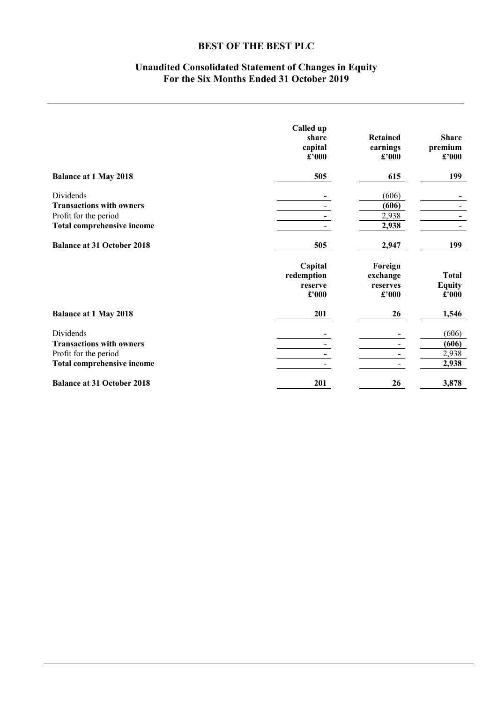# **Unaudited Consolidated Statement of Changes in Equity For the Six Months Ended 31 October 2019**

|                                   | Called up<br>share<br>capital<br>£'000    | <b>Retained</b><br>earnings<br>£'000     | <b>Share</b><br>premium<br>£'000       |
|-----------------------------------|-------------------------------------------|------------------------------------------|----------------------------------------|
| <b>Balance at 1 May 2018</b>      | 505                                       | 615                                      | 199                                    |
| Dividends                         |                                           | (606)                                    |                                        |
| <b>Transactions with owners</b>   |                                           | (606)                                    |                                        |
| Profit for the period             |                                           | 2,938                                    |                                        |
| <b>Total comprehensive income</b> |                                           | 2,938                                    |                                        |
| <b>Balance at 31 October 2018</b> | 505                                       | 2,947                                    | 199                                    |
|                                   | Capital<br>redemption<br>reserve<br>£'000 | Foreign<br>exchange<br>reserves<br>£'000 | <b>Total</b><br><b>Equity</b><br>£'000 |
| <b>Balance at 1 May 2018</b>      | 201                                       | 26                                       | 1,546                                  |
| Dividends                         |                                           |                                          | (606)                                  |
| <b>Transactions with owners</b>   |                                           |                                          | (606)                                  |
| Profit for the period             |                                           |                                          | 2,938                                  |
| Total comprehensive income        |                                           | $\blacksquare$                           | 2,938                                  |
| <b>Balance at 31 October 2018</b> | 201                                       | 26                                       | 3,878                                  |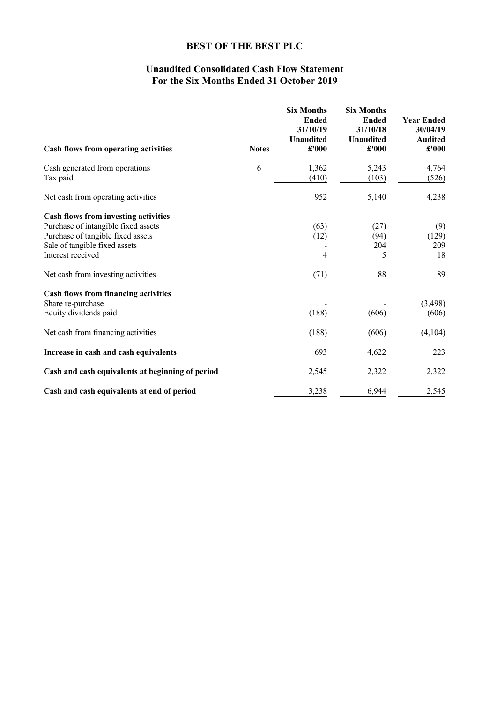# **Unaudited Consolidated Cash Flow Statement For the Six Months Ended 31 October 2019**

| Cash flows from operating activities             | <b>Notes</b> | <b>Six Months</b><br><b>Ended</b><br>31/10/19<br><b>Unaudited</b><br>£'000 | <b>Six Months</b><br><b>Ended</b><br>31/10/18<br><b>Unaudited</b><br>£'000 | <b>Year Ended</b><br>30/04/19<br><b>Audited</b><br>£'000 |
|--------------------------------------------------|--------------|----------------------------------------------------------------------------|----------------------------------------------------------------------------|----------------------------------------------------------|
| Cash generated from operations                   | 6            | 1,362                                                                      | 5,243                                                                      | 4,764                                                    |
| Tax paid                                         |              | (410)                                                                      | (103)                                                                      | (526)                                                    |
| Net cash from operating activities               |              | 952                                                                        | 5,140                                                                      | 4,238                                                    |
| Cash flows from investing activities             |              |                                                                            |                                                                            |                                                          |
| Purchase of intangible fixed assets              |              | (63)                                                                       | (27)                                                                       | (9)                                                      |
| Purchase of tangible fixed assets                |              | (12)                                                                       | (94)                                                                       | (129)                                                    |
| Sale of tangible fixed assets                    |              |                                                                            | 204                                                                        | 209                                                      |
| Interest received                                |              | 4                                                                          | 5                                                                          | 18                                                       |
| Net cash from investing activities               |              | (71)                                                                       | 88                                                                         | 89                                                       |
| <b>Cash flows from financing activities</b>      |              |                                                                            |                                                                            |                                                          |
| Share re-purchase                                |              |                                                                            |                                                                            | (3, 498)                                                 |
| Equity dividends paid                            |              | (188)                                                                      | (606)                                                                      | (606)                                                    |
| Net cash from financing activities               |              | (188)                                                                      | (606)                                                                      | (4,104)                                                  |
| Increase in cash and cash equivalents            |              | 693                                                                        | 4,622                                                                      | 223                                                      |
| Cash and cash equivalents at beginning of period |              | 2,545                                                                      | 2,322                                                                      | 2,322                                                    |
| Cash and cash equivalents at end of period       |              | 3,238                                                                      | 6,944                                                                      | 2,545                                                    |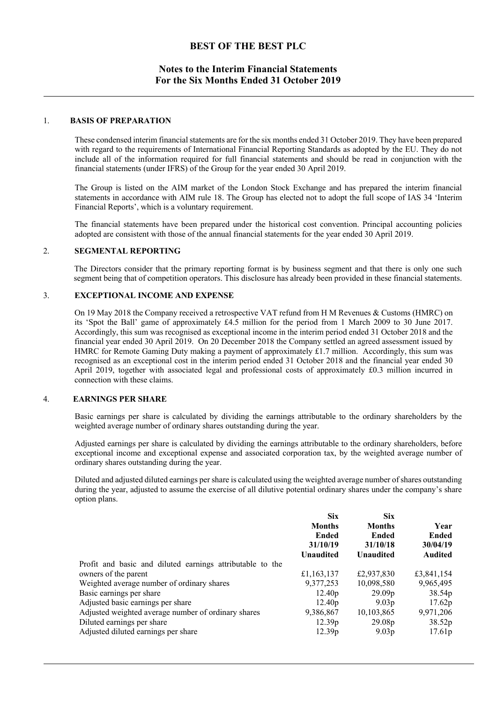# **Notes to the Interim Financial Statements For the Six Months Ended 31 October 2019**

#### 1. **BASIS OF PREPARATION**

These condensed interim financial statements are for the six months ended 31 October 2019. They have been prepared with regard to the requirements of International Financial Reporting Standards as adopted by the EU. They do not include all of the information required for full financial statements and should be read in conjunction with the financial statements (under IFRS) of the Group for the year ended 30 April 2019.

The Group is listed on the AIM market of the London Stock Exchange and has prepared the interim financial statements in accordance with AIM rule 18. The Group has elected not to adopt the full scope of IAS 34 'Interim Financial Reports', which is a voluntary requirement.

The financial statements have been prepared under the historical cost convention. Principal accounting policies adopted are consistent with those of the annual financial statements for the year ended 30 April 2019.

## 2. **SEGMENTAL REPORTING**

 The Directors consider that the primary reporting format is by business segment and that there is only one such segment being that of competition operators. This disclosure has already been provided in these financial statements.

#### 3. **EXCEPTIONAL INCOME AND EXPENSE**

On 19 May 2018 the Company received a retrospective VAT refund from H M Revenues & Customs (HMRC) on its 'Spot the Ball' game of approximately £4.5 million for the period from 1 March 2009 to 30 June 2017. Accordingly, this sum was recognised as exceptional income in the interim period ended 31 October 2018 and the financial year ended 30 April 2019. On 20 December 2018 the Company settled an agreed assessment issued by HMRC for Remote Gaming Duty making a payment of approximately £1.7 million. Accordingly, this sum was recognised as an exceptional cost in the interim period ended 31 October 2018 and the financial year ended 30 April 2019, together with associated legal and professional costs of approximately £0.3 million incurred in connection with these claims.

## 4. **EARNINGS PER SHARE**

Basic earnings per share is calculated by dividing the earnings attributable to the ordinary shareholders by the weighted average number of ordinary shares outstanding during the year.

Adjusted earnings per share is calculated by dividing the earnings attributable to the ordinary shareholders, before exceptional income and exceptional expense and associated corporation tax, by the weighted average number of ordinary shares outstanding during the year.

Diluted and adjusted diluted earnings per share is calculated using the weighted average number of shares outstanding during the year, adjusted to assume the exercise of all dilutive potential ordinary shares under the company's share option plans.

|                                                           | <b>Six</b><br><b>Months</b><br>Ended<br>31/10/19<br><b>Unaudited</b> | <b>Six</b><br><b>Months</b><br><b>Ended</b><br>31/10/18<br><b>Unaudited</b> | Year<br><b>Ended</b><br>30/04/19<br><b>Audited</b> |
|-----------------------------------------------------------|----------------------------------------------------------------------|-----------------------------------------------------------------------------|----------------------------------------------------|
| Profit and basic and diluted earnings attributable to the |                                                                      |                                                                             |                                                    |
| owners of the parent                                      | £1,163,137                                                           | £2,937,830                                                                  | £3,841,154                                         |
| Weighted average number of ordinary shares                | 9,377,253                                                            | 10,098,580                                                                  | 9,965,495                                          |
| Basic earnings per share                                  | 12.40 <sub>p</sub>                                                   | 29.09 <sub>p</sub>                                                          | 38.54p                                             |
| Adjusted basic earnings per share                         | 12.40 <sub>p</sub>                                                   | 9.03 <sub>p</sub>                                                           | 17.62p                                             |
| Adjusted weighted average number of ordinary shares       | 9,386,867                                                            | 10,103,865                                                                  | 9,971,206                                          |
| Diluted earnings per share                                | 12.39 <sub>p</sub>                                                   | 29.08p                                                                      | 38.52p                                             |
| Adjusted diluted earnings per share                       | 12.39 <sub>p</sub>                                                   | 9.03 <sub>p</sub>                                                           | 17.61p                                             |